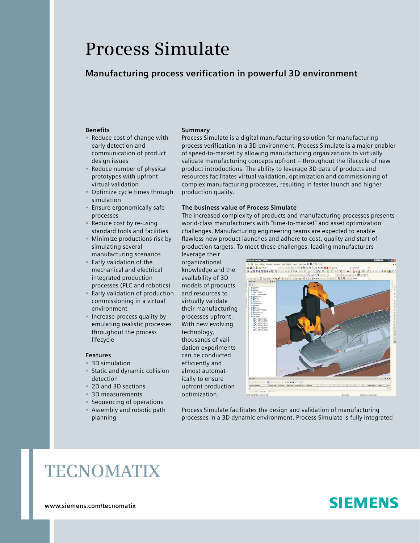# **Process Simulate**

### **Manufacturing process verification in powerful 3D environment**

#### **Benefits**

- Reduce cost of change with early detection and communication of product design issues
- Reduce number of physical prototypes with upfront virtual validation
- Optimize cycle times through simulation
- Ensure ergonomically safe processes
- Reduce cost by re-using standard tools and facilities
- Minimize productions risk by simulating several manufacturing scenarios
- Early validation of the mechanical and electrical integrated production processes (PLC and robotics)
- Early validation of production commissioning in a virtual environment
- Increase process quality by emulating realistic processes throughout the process lifecycle

#### **Features**

- 3D simulation
- Static and dynamic collision detection
- 2D and 3D sections
- 3D measurements
- Sequencing of operations
- Assembly and robotic path planning

#### **Summary**

Process Simulate is a digital manufacturing solution for manufacturing process verification in a 3D environment. Process Simulate is a major enabler of speed-to-market by allowing manufacturing organizations to virtually validate manufacturing concepts upfront – throughout the lifecycle of new product introductions. The ability to leverage 3D data of products and resources facilitates virtual validation, optimization and commissioning of complex manufacturing processes, resulting in faster launch and higher production quality.

#### **The business value of Process Simulate**

The increased complexity of products and manufacturing processes presents world-class manufacturers with "time-to-market" and asset optimization challenges. Manufacturing engineering teams are expected to enable flawless new product launches and adhere to cost, quality and start-ofproduction targets. To meet these challenges, leading manufacturers

leverage their organizational knowledge and the availability of 3D models of products and resources to virtually validate their manufacturing processes upfront. With new evolving technology, thousands of validation experiments can be conducted efficiently and almost automatically to ensure upfront production optimization.



Process Simulate facilitates the design and validation of manufacturing processes in a 3D dynamic environment. Process Simulate is fully integrated

## **TECNOMATIX**

**www.siemens.com/tecnomatix**

## **SIEMENS**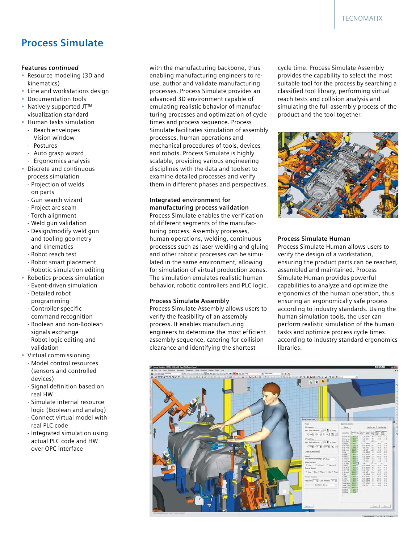### **Process Simulate**

#### **Features** *continued*

- Resource modeling (3D and kinematics)
- Line and workstations design
- Documentation tools
- Natively supported JT™ visualization standard
- Human tasks simulation
- Reach envelopes
- Vision window
- Postures
- Auto grasp wizard
- Ergonomics analysis
- Discrete and continuous process simulation
	- Projection of welds on parts
	- Gun search wizard
	- Project arc seam
	- Torch alignment
	- Weld gun validation
	- Design/modify weld gun and tooling geometry and kinematics
	- Robot reach test
	- Robot smart placement
- Robotic simulation editing
- Robotics process simulation
	- Event-driven simulation
	- Detailed robot programming
	- Controller-specific
	- command recognition
	- Boolean and non-Boolean signals exchange
	- Robot logic editing and validation
- Virtual commissioning
	- Model control resources (sensors and controlled devices)
	- Signal definition based on real HW
	- Simulate internal resource logic (Boolean and analog)
	- Connect virtual model with real PLC code
	- Integrated simulation using actual PLC code and HW over OPC interface

with the manufacturing backbone, thus enabling manufacturing engineers to reuse, author and validate manufacturing processes. Process Simulate provides an advanced 3D environment capable of emulating realistic behavior of manufacturing processes and optimization of cycle times and process sequence. Process Simulate facilitates simulation of assembly processes, human operations and mechanical procedures of tools, devices and robots. Process Simulate is highly scalable, providing various engineering disciplines with the data and toolset to examine detailed processes and verify them in different phases and perspectives.

#### **Integrated environment for manufacturing process validation**

Process Simulate enables the verification of different segments of the manufacturing process. Assembly processes, human operations, welding, continuous processes such as laser welding and gluing and other robotic processes can be simulated in the same environment, allowing for simulation of virtual production zones. The simulation emulates realistic human behavior, robotic controllers and PLC logic.

#### **Process Simulate Assembly**

Process Simulate Assembly allows users to verify the feasibility of an assembly process. It enables manufacturing engineers to determine the most efficient assembly sequence, catering for collision clearance and identifying the shortest

cycle time. Process Simulate Assembly provides the capability to select the most suitable tool for the process by searching a classified tool library, performing virtual reach tests and collision analysis and simulating the full assembly process of the product and the tool together.



#### **Process Simulate Human**

Process Simulate Human allows users to verify the design of a workstation, ensuring the product parts can be reached, assembled and maintained. Process Simulate Human provides powerful capabilities to analyze and optimize the ergonomics of the human operation, thus ensuring an ergonomically safe process according to industry standards. Using the human simulation tools, the user can perform realistic simulation of the human tasks and optimize process cycle times according to industry standard ergonomics libraries.